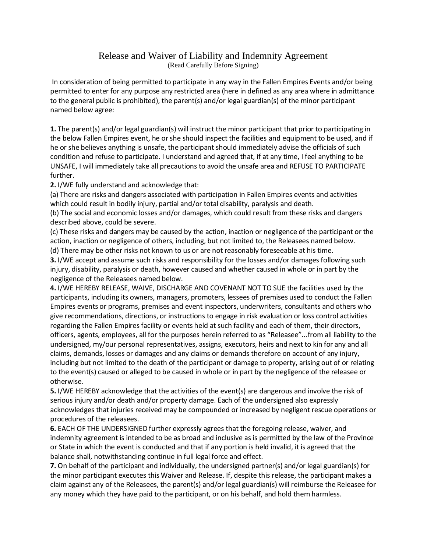## Release and Waiver of Liability and Indemnity Agreement (Read Carefully Before Signing)

In consideration of being permitted to participate in any way in the Fallen Empires Events and/or being permitted to enter for any purpose any restricted area (here in defined as any area where in admittance to the general public is prohibited), the parent(s) and/or legal guardian(s) of the minor participant named below agree:

**1.** The parent(s) and/or legal guardian(s) will instruct the minor participant that prior to participating in the below Fallen Empires event, he or she should inspect the facilities and equipment to be used, and if he or she believes anything is unsafe, the participant should immediately advise the officials of such condition and refuse to participate. I understand and agreed that, if at any time, I feel anything to be UNSAFE, I will immediately take all precautions to avoid the unsafe area and REFUSE TO PARTICIPATE further.

**2.** I/WE fully understand and acknowledge that:

(a) There are risks and dangers associated with participation in Fallen Empires events and activities which could result in bodily injury, partial and/or total disability, paralysis and death.

(b) The social and economic losses and/or damages, which could result from these risks and dangers described above, could be severe.

(c) These risks and dangers may be caused by the action, inaction or negligence of the participant or the action, inaction or negligence of others, including, but not limited to, the Releasees named below. (d) There may be other risks not known to us or are not reasonably foreseeable at his time.

**3.** I/WE accept and assume such risks and responsibility for the losses and/or damages following such injury, disability, paralysis or death, however caused and whether caused in whole or in part by the negligence of the Releasees named below.

**4.** I/WE HEREBY RELEASE, WAIVE, DISCHARGE AND COVENANT NOT TO SUE the facilities used by the participants, including its owners, managers, promoters, lessees of premises used to conduct the Fallen Empires events or programs, premises and event inspectors, underwriters, consultants and others who give recommendations, directions, or instructions to engage in risk evaluation or loss control activities regarding the Fallen Empires facility or events held at such facility and each of them, their directors, officers, agents, employees, all for the purposes herein referred to as "Releasee"...from all liability to the undersigned, my/our personal representatives, assigns, executors, heirs and next to kin for any and all claims, demands, losses or damages and any claims or demands therefore on account of any injury, including but not limited to the death of the participant or damage to property, arising out of or relating to the event(s) caused or alleged to be caused in whole or in part by the negligence of the releasee or otherwise.

**5.** I/WE HEREBY acknowledge that the activities of the event(s) are dangerous and involve the risk of serious injury and/or death and/or property damage. Each of the undersigned also expressly acknowledges that injuries received may be compounded or increased by negligent rescue operations or procedures of the releasees.

**6.** EACH OF THE UNDERSIGNED further expressly agrees that the foregoing release, waiver, and indemnity agreement is intended to be as broad and inclusive as is permitted by the law of the Province or State in which the event is conducted and that if any portion is held invalid, it is agreed that the balance shall, notwithstanding continue in full legal force and effect.

**7.** On behalf of the participant and individually, the undersigned partner(s) and/or legal guardian(s) for the minor participant executes this Waiver and Release. If, despite this release, the participant makes a claim against any of the Releasees, the parent(s) and/or legal guardian(s) will reimburse the Releasee for any money which they have paid to the participant, or on his behalf, and hold them harmless.